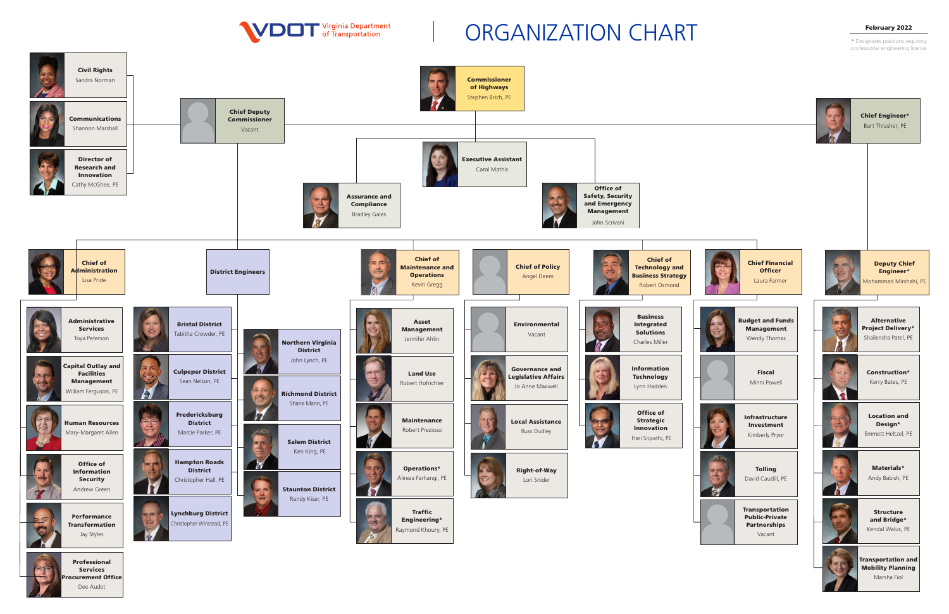



\* Designates positions requiring professional engineering license



## ORGANIZATION CHART